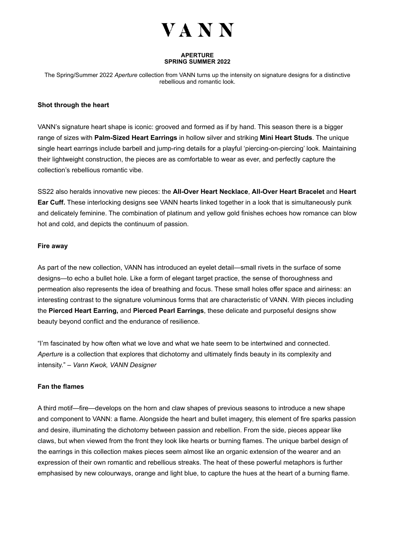

#### **APERTURE SPRING SUMMER 2022**

The Spring/Summer 2022 *Aperture* collection from VANN turns up the intensity on signature designs for a distinctive rebellious and romantic look.

# **Shot through the heart**

VANN's signature heart shape is iconic: grooved and formed as if by hand. This season there is a bigger range of sizes with **Palm-Sized Heart Earrings** in hollow silver and striking **Mini Heart Studs**. The unique single heart earrings include barbell and jump-ring details for a playful 'piercing-on-piercing' look. Maintaining their lightweight construction, the pieces are as comfortable to wear as ever, and perfectly capture the collection's rebellious romantic vibe.

SS22 also heralds innovative new pieces: the **All-Over Heart Necklace**, **All-Over Heart Bracelet** and **Heart Ear Cuff.** These interlocking designs see VANN hearts linked together in a look that is simultaneously punk and delicately feminine. The combination of platinum and yellow gold finishes echoes how romance can blow hot and cold, and depicts the continuum of passion.

## **Fire away**

As part of the new collection, VANN has introduced an eyelet detail—small rivets in the surface of some designs—to echo a bullet hole. Like a form of elegant target practice, the sense of thoroughness and permeation also represents the idea of breathing and focus. These small holes offer space and airiness: an interesting contrast to the signature voluminous forms that are characteristic of VANN. With pieces including the **Pierced Heart Earring,** and **Pierced Pearl Earrings**, these delicate and purposeful designs show beauty beyond conflict and the endurance of resilience.

"I'm fascinated by how often what we love and what we hate seem to be intertwined and connected. *Aperture* is a collection that explores that dichotomy and ultimately finds beauty in its complexity and intensity." – *Vann Kwok, VANN Designer* 

### **Fan the flames**

A third motif—fire—develops on the horn and claw shapes of previous seasons to introduce a new shape and component to VANN: a flame. Alongside the heart and bullet imagery, this element of fire sparks passion and desire, illuminating the dichotomy between passion and rebellion. From the side, pieces appear like claws, but when viewed from the front they look like hearts or burning flames. The unique barbel design of the earrings in this collection makes pieces seem almost like an organic extension of the wearer and an expression of their own romantic and rebellious streaks. The heat of these powerful metaphors is further emphasised by new colourways, orange and light blue, to capture the hues at the heart of a burning flame.